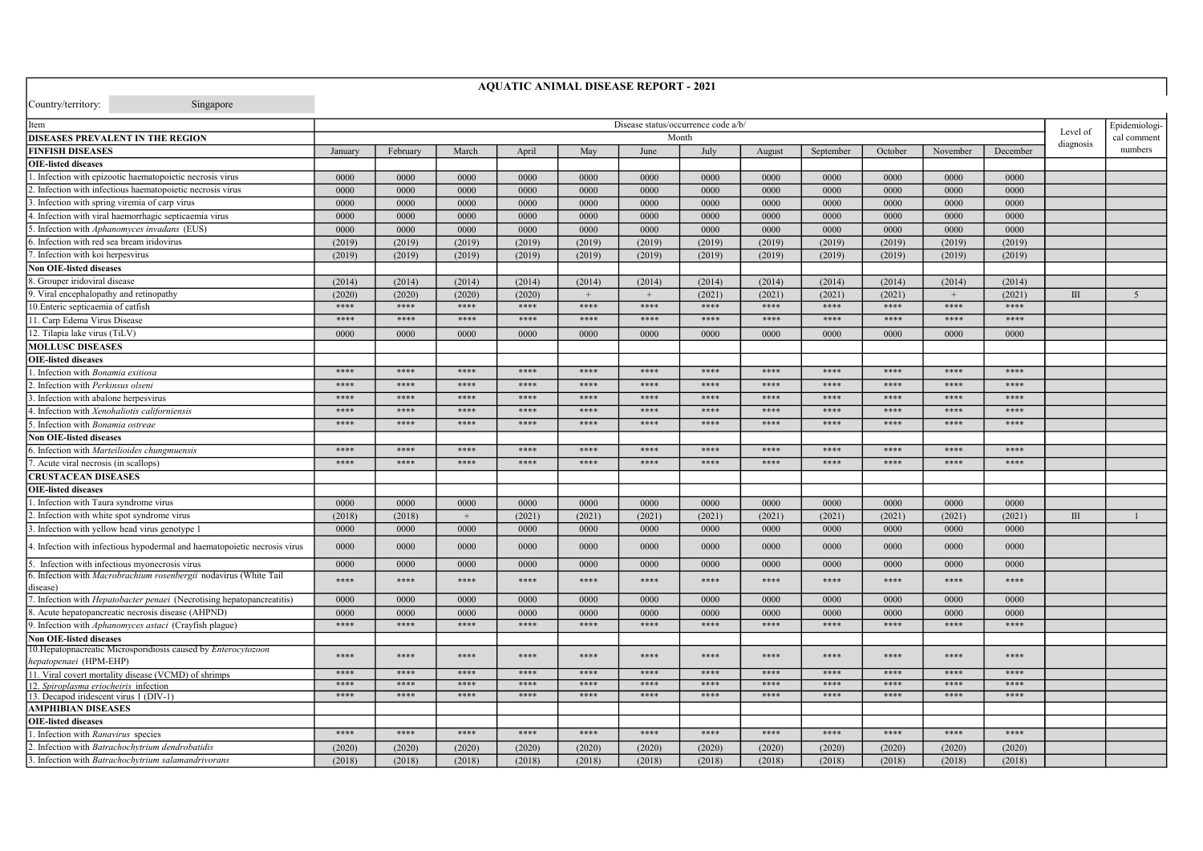| Country/territory:<br>Singapore                                                          |                                     |          |        |        |        |        |        |               |           |         |          |          |                |             |
|------------------------------------------------------------------------------------------|-------------------------------------|----------|--------|--------|--------|--------|--------|---------------|-----------|---------|----------|----------|----------------|-------------|
| Item                                                                                     | Disease status/occurrence code a/b/ |          |        |        |        |        |        | Epidemiologi- |           |         |          |          |                |             |
| <b>DISEASES PREVALENT IN THE REGION</b>                                                  |                                     |          |        |        |        |        | Month  |               |           |         |          |          | Level of       | cal comment |
| <b>FINFISH DISEASES</b>                                                                  | January                             | February | March  | April  | May    | June   | July   | August        | September | October | November | December | diagnosis      | numbers     |
| <b>OIE-listed diseases</b>                                                               |                                     |          |        |        |        |        |        |               |           |         |          |          |                |             |
| . Infection with epizootic haematopoietic necrosis virus                                 | 0000                                | 0000     | 0000   | 0000   | 0000   | 0000   | 0000   | 0000          | 0000      | 0000    | 0000     | 0000     |                |             |
| . Infection with infectious haematopoietic necrosis virus                                | 0000                                | 0000     | 0000   | 0000   | 0000   | 0000   | 0000   | 0000          | 0000      | 0000    | 0000     | 0000     |                |             |
| . Infection with spring viremia of carp virus                                            | 0000                                | 0000     | 0000   | 0000   | 0000   | 0000   | 0000   | 0000          | 0000      | 0000    | 0000     | 0000     |                |             |
| . Infection with viral haemorrhagic septicaemia virus                                    | 0000                                | 0000     | 0000   | 0000   | 0000   | 0000   | 0000   | 0000          | 0000      | 0000    | 0000     | 0000     |                |             |
| Infection with Aphanomyces invadans (EUS)                                                | 0000                                | 0000     | 0000   | 0000   | 0000   | 0000   | 0000   | 0000          | 0000      | 0000    | 0000     | 0000     |                |             |
| Infection with red sea bream iridovirus                                                  | (2019)                              | (2019)   | (2019) | (2019) | (2019) | (2019) | (2019) | (2019)        | (2019)    | (2019)  | (2019)   | (2019)   |                |             |
| Infection with koi herpesvirus                                                           | (2019)                              | (2019)   | (2019) | (2019) | (2019) | (2019) | (2019) | (2019)        | (2019)    | (2019)  | (2019)   | (2019)   |                |             |
| <b>Non OIE-listed diseases</b>                                                           |                                     |          |        |        |        |        |        |               |           |         |          |          |                |             |
| 8. Grouper iridoviral disease                                                            | (2014)                              | (2014)   | (2014) | (2014) | (2014) | (2014) | (2014) | (2014)        | (2014)    | (2014)  | (2014)   | (2014)   |                |             |
| 9. Viral encephalopathy and retinopathy                                                  | (2020)                              | (2020)   | (2020) | (2020) | $+$    | $+$    | (2021) | (2021)        | (2021)    | (2021)  | $+$      | (2021)   | $\mathbf{III}$ | 5           |
| 10. Enteric septicaemia of catfish                                                       | $****$                              | ****     | $****$ | $****$ | ****   | $****$ | $****$ | ****          | ****      | ****    | $****$   | $****$   |                |             |
| 11. Carp Edema Virus Disease                                                             | ****                                | ****     | ****   | ****   | ****   | ****   | ****   | ****          | ****      | ****    | ****     | ****     |                |             |
| 12. Tilapia lake virus (TiLV)                                                            | 0000                                | 0000     | 0000   | 0000   | 0000   | 0000   | 0000   | 0000          | 0000      | 0000    | 0000     | 0000     |                |             |
| <b>MOLLUSC DISEASES</b>                                                                  |                                     |          |        |        |        |        |        |               |           |         |          |          |                |             |
| <b>OIE-listed diseases</b>                                                               |                                     |          |        |        |        |        |        |               |           |         |          |          |                |             |
| Infection with <i>Bonamia exitiosa</i>                                                   | ****                                | ****     | ****   | ****   | ****   | ****   | ****   | ****          | ****      | ****    | ****     | ****     |                |             |
| Infection with Perkinsus olseni                                                          | $****$                              | ****     | ****   | ****   | ****   | ****   | ****   | ****          | ****      | ****    | ****     | ****     |                |             |
| Infection with abalone herpesvirus                                                       | ****                                | ****     | ****   | ****   | ****   | ****   | ****   | ****          | ****      | ****    | ****     | ****     |                |             |
| . Infection with Xenohaliotis californiensis                                             | ****                                | ****     | ****   | ****   | ****   | ****   | ****   | ****          | ****      | ****    | ****     | ****     |                |             |
| . Infection with Bonamia ostreae                                                         | ****                                | ****     | ****   | $****$ | ****   | ****   | ****   | ****          | ****      | ****    | $****$   | ****     |                |             |
| <b>Non OIE-listed diseases</b>                                                           |                                     |          |        |        |        |        |        |               |           |         |          |          |                |             |
| 6. Infection with Marteilioides chungmuensis                                             | ****                                | ****     | ****   | ****   | ****   | ****   | ****   | ****          | ****      | ****    | ****     | ****     |                |             |
| . Acute viral necrosis (in scallops)                                                     | ****                                | ****     | ****   | ****   | ****   | ****   | ****   | ****          | ****      | ****    | ****     | ****     |                |             |
| <b>CRUSTACEAN DISEASES</b>                                                               |                                     |          |        |        |        |        |        |               |           |         |          |          |                |             |
| <b>OIE-listed diseases</b>                                                               |                                     |          |        |        |        |        |        |               |           |         |          |          |                |             |
| Infection with Taura syndrome virus                                                      | 0000                                | 0000     | 0000   | 0000   | 0000   | 0000   | 0000   | 0000          | 0000      | 0000    | 0000     | 0000     |                |             |
| Infection with white spot syndrome virus                                                 | (2018)                              | (2018)   |        | (2021) | (2021) | (2021) | (2021) | (2021)        | (2021)    | (2021)  | (2021)   | (2021)   | $\mathbf{III}$ |             |
| Infection with yellow head virus genotype 1                                              | 0000                                | 0000     | 0000   | 0000   | 0000   | 0000   | 0000   | 0000          | 0000      | 0000    | 0000     | 0000     |                |             |
|                                                                                          |                                     |          |        |        |        |        |        |               |           |         |          |          |                |             |
| 4. Infection with infectious hypodermal and haematopoietic necrosis virus                | 0000                                | 0000     | 0000   | 0000   | 0000   | 0000   | 0000   | 0000          | 0000      | 0000    | 0000     | 0000     |                |             |
| Infection with infectious myonecrosis virus                                              | 0000                                | 0000     | 0000   | 0000   | 0000   | 0000   | 0000   | 0000          | 0000      | 0000    | 0000     | 0000     |                |             |
| 6. Infection with Macrobrachium rosenbergii nodavirus (White Tail<br>disease)            | ****                                | ****     | ****   | ****   | ****   | ****   | ****   | ****          | ****      | ****    | ****     | ****     |                |             |
| 7. Infection with <i>Hepatobacter penaei</i> (Necrotising hepatopancreatitis)            | 0000                                | 0000     | 0000   | 0000   | 0000   | 0000   | 0000   | 0000          | 0000      | 0000    | 0000     | 0000     |                |             |
| 8. Acute hepatopancreatic necrosis disease (AHPND)                                       | 0000                                | 0000     | 0000   | 0000   | 0000   | 0000   | 0000   | 0000          | 0000      | 0000    | 0000     | 0000     |                |             |
| 9. Infection with Aphanomyces astaci (Crayfish plague)                                   | $****$                              | $****$   | ****   | ****   | ****   | ****   | ****   | ****          | ****      | ****    | $****$   | ****     |                |             |
| <b>Non OIE-listed diseases</b>                                                           |                                     |          |        |        |        |        |        |               |           |         |          |          |                |             |
| 10. Hepatopnacreatic Microsporidiosis caused by Enterocytozoon<br>hepatopenaei (HPM-EHP) | ****                                | ****     | ****   | ****   | ****   | ****   | ****   | ****          | ****      | ****    | ****     | ****     |                |             |
| 11. Viral covert mortality disease (VCMD) of shrimps                                     | ****                                | ****     | ****   | ****   | ****   | ****   | ****   | ****          | ****      | ****    | ****     | ****     |                |             |
| 12. Spiroplasma eriocheiris infection                                                    | ****                                | ****     | ****   | ****   | ****   | ****   | ****   | ****          | ****      | ****    | ****     | ****     |                |             |
| 13. Decapod iridescent virus 1 (DIV-1)                                                   | ****                                | ****     | ****   | ****   | ****   | ****   | ****   | ****          | ****      | ****    | ****     | ****     |                |             |
| <b>AMPHIBIAN DISEASES</b>                                                                |                                     |          |        |        |        |        |        |               |           |         |          |          |                |             |
| <b>OIE-listed diseases</b>                                                               |                                     |          |        |        |        |        |        |               |           |         |          |          |                |             |
| . Infection with Ranavirus species                                                       | ****                                | ****     | ****   | ****   | ****   | ****   | ****   | ****          | ****      | ****    | ****     | ****     |                |             |
| 2. Infection with Batrachochytrium dendrobatidis                                         | (2020)                              | (2020)   | (2020) | (2020) | (2020) | (2020) | (2020) | (2020)        | (2020)    | (2020)  | (2020)   | (2020)   |                |             |
| 3. Infection with Batrachochytrium salamandrivorans                                      | (2018)                              | (2018)   | (2018) | (2018) | (2018) | (2018) | (2018) | (2018)        | (2018)    | (2018)  | (2018)   | (2018)   |                |             |

AQUATIC ANIMAL DISEASE REPORT - 2021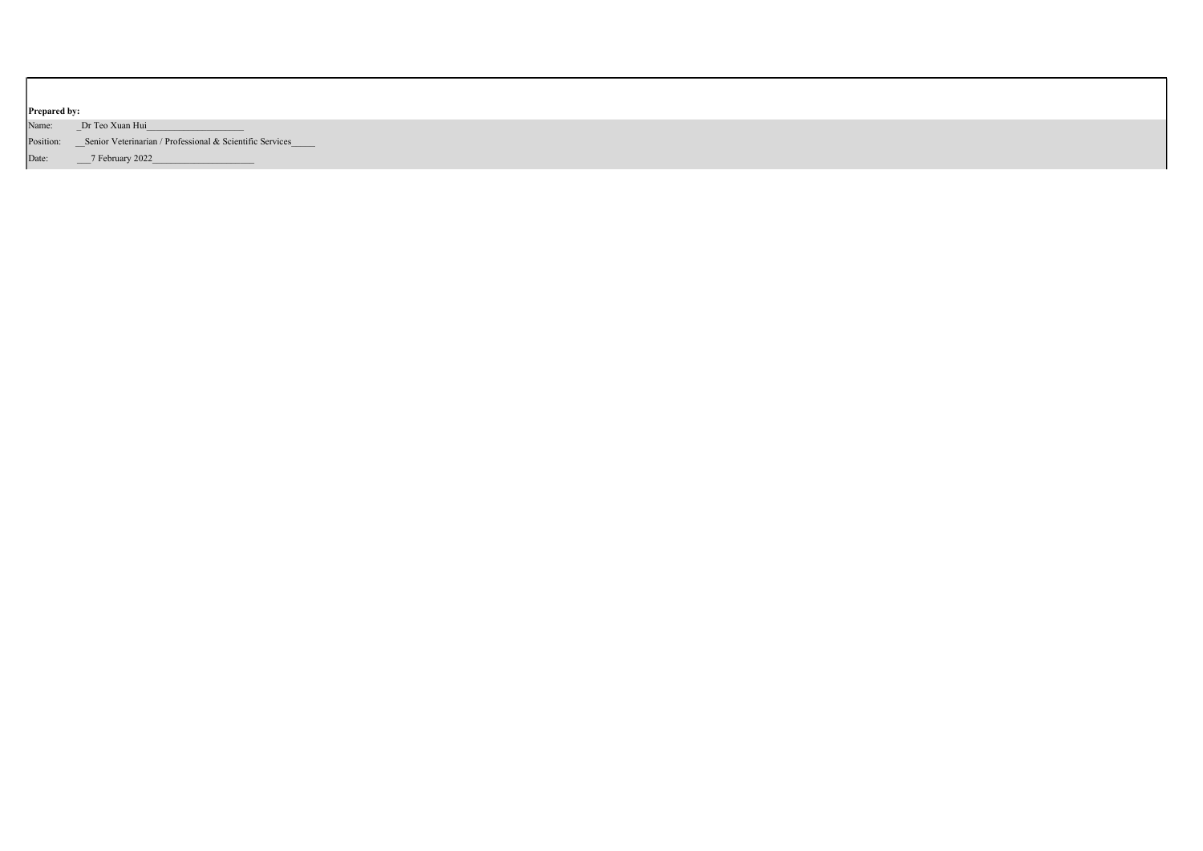| <b>Prepared by:</b>                                                    |  |
|------------------------------------------------------------------------|--|
| Name:<br>Dr Teo Xuan Hui                                               |  |
| Position: ___ Senior Veterinarian / Professional & Scientific Services |  |
| _7 February 2022_<br>Date:                                             |  |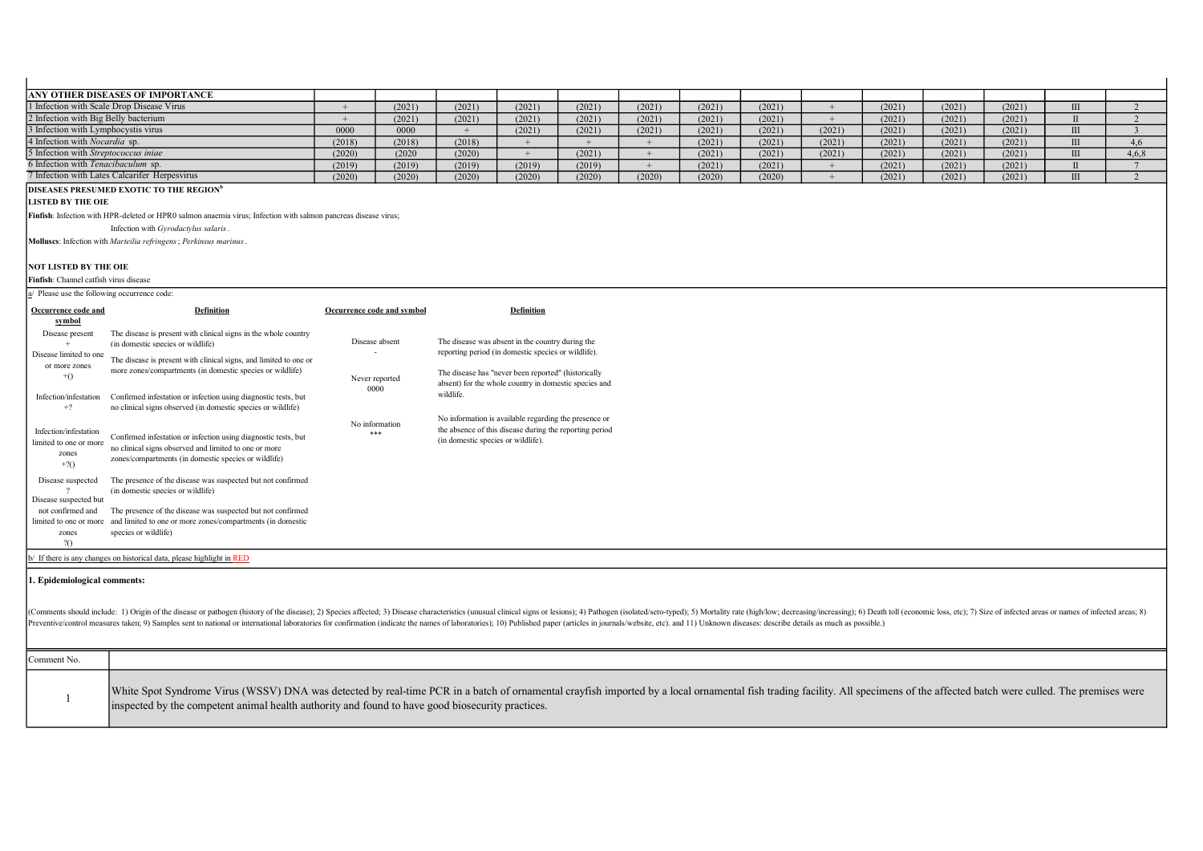| <b>ANY OTHER DISEASES OF IMPORTANCE</b>       |        |        |        |        |        |        |        |        |        |        |        |        |       |
|-----------------------------------------------|--------|--------|--------|--------|--------|--------|--------|--------|--------|--------|--------|--------|-------|
| 1 Infection with Scale Drop Disease Virus     |        | (2021) | (2021) | (2021) | (2021) | (2021) | (2021) | (2021) |        | (2021) | (2021) | (2021) |       |
| 2 Infection with Big Belly bacterium          |        | (2021) | (2021) | (2021) | (2021) | (2021) | (2021) | (2021) |        | (2021) | (2021) | (2021) |       |
| 3 Infection with Lymphocystis virus           | 0000   | 0000   |        | (2021) | (2021) | (2021) | (2021) | (2021) | (2021) | (2021) | (2021) | (2021) |       |
| 4 Infection with <i>Nocardia</i> sp.          | (2018) | (2018) | (2018) |        |        |        | (2021) | (2021) | (2021) | (2021) | (2021) | (2021) |       |
| 5 Infection with Streptococcus injae          | (2020) | (2020) | (2020) |        | (2021) |        | (2021) | (2021) | (2021) | (2021) | (2021) | (2021) | 4,6,8 |
| 6 Infection with Tenacibaculum sp.            | (2019) | (2019) | (2019) | (2019) | (2019) |        | (2021) | (2021) |        | (2021) | (2021) | (2021) |       |
| 7 Infection with Lates Calcarifer Herpesvirus | (2020) | (2020) | (2020) | (2020) | (2020) | (2020) | (2020) | (2020) |        | (2021) | (2021) | (2021) |       |
|                                               |        |        |        |        |        |        |        |        |        |        |        |        |       |

## DISEASES PRESUMED EXOTIC TO THE REGION<sup>b</sup>

LISTED BY THE OIE

Finfish: Infection with HPR-deleted or HPR0 salmon anaemia virus; Infection with salmon pancreas disease virus;

Infection with Gyrodactylus salaris.

Molluscs: Infection with Marteilia refringens; Perkinsus marinus.

## NOT LISTED BY THE OIE

Finfish: Channel catfish virus disease

| Please use the following occurrence code:<br>Ιa                    |                                                                                                                                                                                 |                            |                                                                                                                                                        |
|--------------------------------------------------------------------|---------------------------------------------------------------------------------------------------------------------------------------------------------------------------------|----------------------------|--------------------------------------------------------------------------------------------------------------------------------------------------------|
| Occurrence code and<br>symbol                                      | Definition                                                                                                                                                                      | Occurrence code and symbol | Definition                                                                                                                                             |
| Disease present<br>Disease limited to one<br>or more zones         | The disease is present with clinical signs in the whole country<br>(in domestic species or wildlife)<br>The disease is present with clinical signs, and limited to one or       | Disease absent             | The disease was absent in the country during the<br>reporting period (in domestic species or wildlife).                                                |
| $+()$                                                              | more zones/compartments (in domestic species or wildlife)                                                                                                                       | Never reported<br>0000     | The disease has "never been reported" (historically<br>absent) for the whole country in domestic species and                                           |
| Infection/infestation<br>$+2$                                      | Confirmed infestation or infection using diagnostic tests, but<br>no clinical signs observed (in domestic species or wildlife)                                                  |                            | wildlife.                                                                                                                                              |
| Infection/infestation<br>limited to one or more<br>zones<br>$+2()$ | Confirmed infestation or infection using diagnostic tests, but<br>no clinical signs observed and limited to one or more<br>zones/compartments (in domestic species or wildlife) | No information<br>***      | No information is available regarding the presence or<br>the absence of this disease during the reporting period<br>(in domestic species or wildlife). |
| Disease suspected<br>Disease suspected but                         | The presence of the disease was suspected but not confirmed<br>(in domestic species or wildlife)                                                                                |                            |                                                                                                                                                        |
| not confirmed and                                                  | The presence of the disease was suspected but not confirmed                                                                                                                     |                            |                                                                                                                                                        |
| limited to one or more<br>zones<br>20                              | and limited to one or more zones/compartments (in domestic<br>species or wildlife)                                                                                              |                            |                                                                                                                                                        |
|                                                                    | b/ If there is any changes on historical data, please highlight in RED                                                                                                          |                            |                                                                                                                                                        |

## 1. Epidemiological comments:

(Comments should include: 1) Origin of the disease or pathogen (history of the disease); 2) Species affected; 3) Disease characteristics (unusual clinical signs or lesions); 4) Pathogen (isolated/sero-typed); 5) Mortality Preventive/control measures taken; 9) Samples sent to national or international laboratories for confirmation (indicate the names of laboratories; 10) Published paper (articles in journals/website, etc). and 11) Unknown di

| Comment No. |                                                                                                                                                                                                                                                                                                                                   |
|-------------|-----------------------------------------------------------------------------------------------------------------------------------------------------------------------------------------------------------------------------------------------------------------------------------------------------------------------------------|
|             | White Spot Syndrome Virus (WSSV) DNA was detected by real-time PCR in a batch of ornamental crayfish imported by a local ornamental fish trading facility. All specimens of the affected batch were culled. The premises were<br>inspected by the competent animal health authority and found to have good biosecurity practices. |